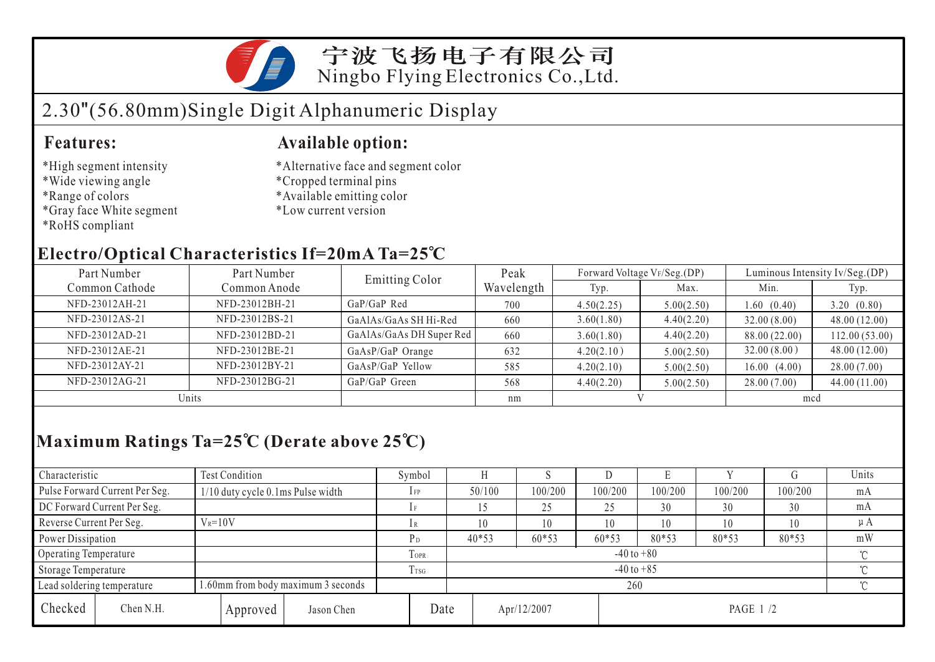

### 宁波飞扬电子有限公司 Ningbo Flying Electronics Co.,Ltd.

# 2.30"(56.80mm)Single Digit Alphanumeric Display

- \*High segment intensity
- \*Wide viewing angle
- \*Range of colors
- \*Gray face White segment
- \*RoHS compliant

#### **Features: Available option:**

- \*Alternative face and segment color
- \*Cropped terminal pins
- \*Available emitting color
- \*Low current version

### **Electro/Optical Characteristics If=20mA Ta=25 C**

| Part Number    | Part Number    | <b>Emitting Color</b>    | Peak       | Forward Voltage VF/Seg.(DP) |            | Luminous Intensity Iv/Seg.(DP) |               |  |
|----------------|----------------|--------------------------|------------|-----------------------------|------------|--------------------------------|---------------|--|
| Common Cathode | Common Anode   |                          | Wavelength | Typ.                        | Max.       | Min.                           | Typ.          |  |
| NFD-23012AH-21 | NFD-23012BH-21 | $GaP/GaP$ Red            | 700        | 4.50(2.25)                  | 5.00(2.50) | 1.60(0.40)                     | 3.20(0.80)    |  |
| NFD-23012AS-21 | NFD-23012BS-21 | GaAlAs/GaAs SH Hi-Red    | 660        | 3.60(1.80)                  | 4.40(2.20) | 32.00(8.00)                    | 48.00(12.00)  |  |
| NFD-23012AD-21 | NFD-23012BD-21 | GaAlAs/GaAs DH Super Red | 660        | 3.60(1.80)                  | 4.40(2.20) | 88.00 (22.00)                  | 112.00(53.00) |  |
| NFD-23012AE-21 | NFD-23012BE-21 | GaAsP/GaP Orange         | 632        | 4.20(2.10)                  | 5.00(2.50) | 32.00(8.00)                    | 48.00(12.00)  |  |
| NFD-23012AY-21 | NFD-23012BY-21 | GaAsP/GaP Yellow         | 585        | 4.20(2.10)                  | 5.00(2.50) | 16.00(4.00)                    | 28.00(7.00)   |  |
| NFD-23012AG-21 | NFD-23012BG-21 | GaP/GaP Green            | 568        | 4.40(2.20)                  | 5.00(2.50) | 28.00(7.00)                    | 44.00(11.00)  |  |
| Units          |                |                          | nm         |                             |            | mcd                            |               |  |

## **Maximum Ratings Ta=25 C (Derate above 25 C)**

| Characteristic        |                                                                 | Test Condition                    |                            |             | Symbol                   |                          |         |         | Ľ       |         |         | Units |
|-----------------------|-----------------------------------------------------------------|-----------------------------------|----------------------------|-------------|--------------------------|--------------------------|---------|---------|---------|---------|---------|-------|
|                       | Pulse Forward Current Per Seg.                                  | 1/10 duty cycle 0.1ms Pulse width |                            |             | $1$ FP                   | 50/100                   | 100/200 | 100/200 | 100/200 | 100/200 | 100/200 | mA    |
|                       | DC Forward Current Per Seg.                                     |                                   |                            |             | 1F                       |                          | 25      | 25      | 30      | 30      | 30      | mA    |
|                       | Reverse Current Per Seg.<br>$V_R = 10V$                         |                                   | 1 R                        | 10          | 10                       | 10                       | 10      | 10      | 10      | $\mu A$ |         |       |
| Power Dissipation     |                                                                 | РD                                | $40*53$                    | $60*53$     | $60*53$                  | $80*53$                  | $80*53$ | 80*53   | mW      |         |         |       |
| Operating Temperature |                                                                 |                                   |                            | <b>TOPR</b> | $-40$ to $+80$<br>$\sim$ |                          |         |         |         |         |         |       |
| Storage Temperature   |                                                                 | $\mathbf{r}$<br>T <sub>sG</sub>   | $-40$ to $+85$<br>$\gamma$ |             |                          |                          |         |         |         |         |         |       |
|                       | .60mm from body maximum 3 seconds<br>Lead soldering temperature |                                   |                            |             |                          | $\gamma$                 |         |         |         |         |         |       |
| Checked               | Chen N.H.                                                       |                                   | Approved                   | Jason Chen  | Date                     | PAGE 1 /2<br>Apr/12/2007 |         |         |         |         |         |       |